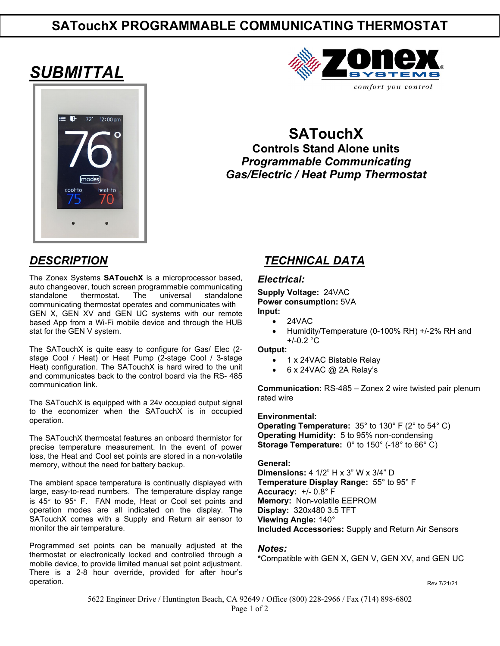# **SATouchX PROGRAMMABLE COMMUNICATING THERMOSTAT**

# *SUBMITTAL*





**SATouchX Controls Stand Alone units** *Programmable Communicating Gas/Electric / Heat Pump Thermostat*

The Zonex Systems **SATouchX** is a microprocessor based, auto changeover, touch screen programmable communicating thermostat. The universal standalone communicating thermostat operates and communicates with GEN X, GEN XV and GEN UC systems with our remote based App from a Wi-Fi mobile device and through the HUB stat for the GEN V system.

The SATouchX is quite easy to configure for Gas/ Elec (2 stage Cool / Heat) or Heat Pump (2-stage Cool / 3-stage Heat) configuration. The SATouchX is hard wired to the unit and communicates back to the control board via the RS- 485 communication link.

The SATouchX is equipped with a 24v occupied output signal to the economizer when the SATouchX is in occupied operation.

The SATouchX thermostat features an onboard thermistor for precise temperature measurement. In the event of power loss, the Heat and Cool set points are stored in a non-volatile memory, without the need for battery backup.

The ambient space temperature is continually displayed with large, easy-to-read numbers. The temperature display range is 45° to 95° F. FAN mode, Heat or Cool set points and operation modes are all indicated on the display. The SATouchX comes with a Supply and Return air sensor to monitor the air temperature.

Programmed set points can be manually adjusted at the thermostat or electronically locked and controlled through a mobile device, to provide limited manual set point adjustment. There is a 2-8 hour override, provided for after hour's operation.

## *DESCRIPTION TECHNICAL DATA*

#### *Electrical:*

**Supply Voltage:** 24VAC **Power consumption:** 5VA **Input:** 

- 24VAC
- Humidity/Temperature (0-100% RH) +/-2% RH and +/-0.2 °C

**Output:** 

- 1 x 24VAC Bistable Relay
- 6 x 24VAC @ 2A Relay's

**Communication:** RS-485 – Zonex 2 wire twisted pair plenum rated wire

#### **Environmental:**

**Operating Temperature:** 35° to 130° F (2° to 54° C) **Operating Humidity:** 5 to 95% non-condensing **Storage Temperature:** 0° to 150° (-18° to 66° C)

#### **General:**

**Dimensions:** 4 1/2" H x 3" W x 3/4" D **Temperature Display Range:** 55° to 95° F **Accuracy:** +/- 0.8° F **Memory:** Non-volatile EEPROM **Display:** 320x480 3.5 TFT **Viewing Angle:** 140° **Included Accessories:** Supply and Return Air Sensors

#### *Notes:*

**\***Compatible with GEN X, GEN V, GEN XV, and GEN UC